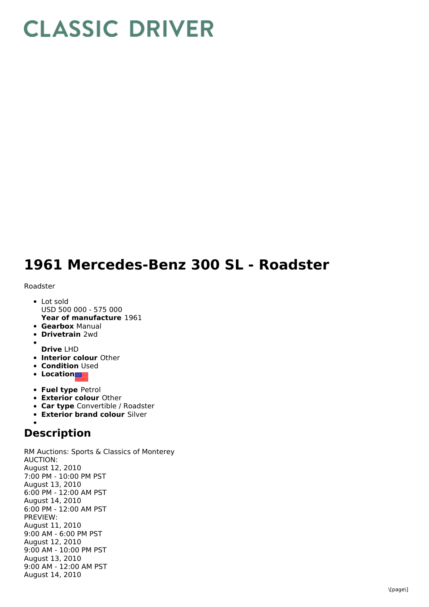## **CLASSIC DRIVER**

## **1961 Mercedes-Benz 300 SL - Roadster**

Roadster

- **Year of manufacture** 1961 • Lot sold USD 500 000 - 575 000
- **Gearbox** Manual
- **Drivetrain** 2wd
- **Drive** LHD
- **Interior colour** Other
- **Condition Used**
- **•** Location
- **Fuel type** Petrol
- **Exterior colour** Other
- **Car type** Convertible / Roadster
- **Exterior brand colour** Silver

## **Description**

RM Auctions: Sports & Classics of Monterey AUCTION: August 12, 2010 7:00 PM - 10:00 PM PST August 13, 2010 6:00 PM - 12:00 AM PST August 14, 2010 6:00 PM - 12:00 AM PST PREVIEW: August 11, 2010 9:00 AM - 6:00 PM PST August 12, 2010 9:00 AM - 10:00 PM PST August 13, 2010 9:00 AM - 12:00 AM PST August 14, 2010